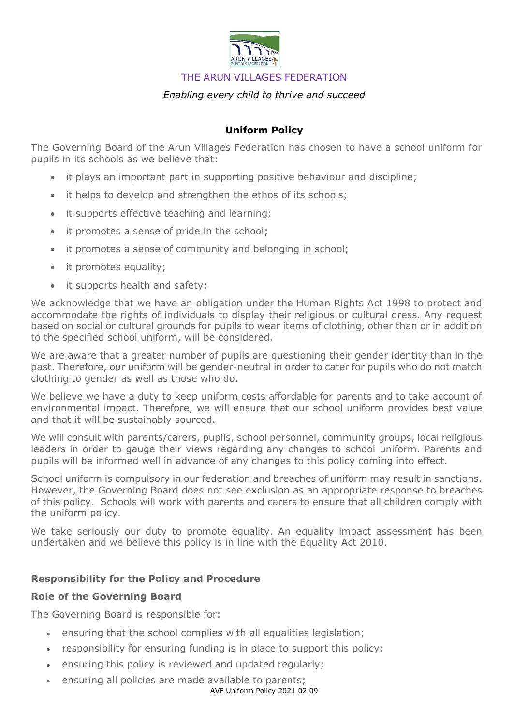

THE ARUN VILLAGES FEDERATION

# *Enabling every child to thrive and succeed*

## **Uniform Policy**

The Governing Board of the Arun Villages Federation has chosen to have a school uniform for pupils in its schools as we believe that:

- it plays an important part in supporting positive behaviour and discipline;
- it helps to develop and strengthen the ethos of its schools;
- it supports effective teaching and learning;
- it promotes a sense of pride in the school;
- it promotes a sense of community and belonging in school;
- it promotes equality;
- it supports health and safety;

We acknowledge that we have an obligation under the Human Rights Act 1998 to protect and accommodate the rights of individuals to display their religious or cultural dress. Any request based on social or cultural grounds for pupils to wear items of clothing, other than or in addition to the specified school uniform, will be considered.

We are aware that a greater number of pupils are questioning their gender identity than in the past. Therefore, our uniform will be gender-neutral in order to cater for pupils who do not match clothing to gender as well as those who do.

We believe we have a duty to keep uniform costs affordable for parents and to take account of environmental impact. Therefore, we will ensure that our school uniform provides best value and that it will be sustainably sourced.

We will consult with parents/carers, pupils, school personnel, community groups, local religious leaders in order to gauge their views regarding any changes to school uniform. Parents and pupils will be informed well in advance of any changes to this policy coming into effect.

School uniform is compulsory in our federation and breaches of uniform may result in sanctions. However, the Governing Board does not see exclusion as an appropriate response to breaches of this policy. Schools will work with parents and carers to ensure that all children comply with the uniform policy.

We take seriously our duty to promote equality. An equality impact assessment has been undertaken and we believe this policy is in line with the Equality Act 2010.

# **Responsibility for the Policy and Procedure**

### **Role of the Governing Board**

The Governing Board is responsible for:

- ensuring that the school complies with all equalities legislation;
- responsibility for ensuring funding is in place to support this policy;
- ensuring this policy is reviewed and updated regularly;
- ensuring all policies are made available to parents;
	- AVF Uniform Policy 2021 02 09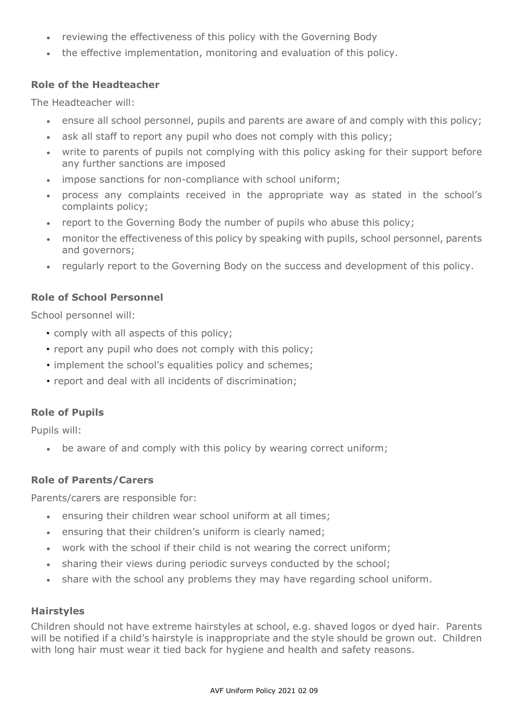- reviewing the effectiveness of this policy with the Governing Body
- the effective implementation, monitoring and evaluation of this policy.

## **Role of the Headteacher**

The Headteacher will:

- ensure all school personnel, pupils and parents are aware of and comply with this policy;
- ask all staff to report any pupil who does not comply with this policy;
- write to parents of pupils not complying with this policy asking for their support before any further sanctions are imposed
- impose sanctions for non-compliance with school uniform;
- process any complaints received in the appropriate way as stated in the school's complaints policy;
- report to the Governing Body the number of pupils who abuse this policy;
- monitor the effectiveness of this policy by speaking with pupils, school personnel, parents and governors;
- regularly report to the Governing Body on the success and development of this policy.

# **Role of School Personnel**

School personnel will:

- comply with all aspects of this policy;
- report any pupil who does not comply with this policy;
- implement the school's equalities policy and schemes;
- report and deal with all incidents of discrimination;

### **Role of Pupils**

Pupils will:

• be aware of and comply with this policy by wearing correct uniform;

### **Role of Parents/Carers**

Parents/carers are responsible for:

- ensuring their children wear school uniform at all times;
- ensuring that their children's uniform is clearly named;
- work with the school if their child is not wearing the correct uniform;
- sharing their views during periodic surveys conducted by the school;
- share with the school any problems they may have regarding school uniform.

### **Hairstyles**

Children should not have extreme hairstyles at school, e.g. shaved logos or dyed hair. Parents will be notified if a child's hairstyle is inappropriate and the style should be grown out. Children with long hair must wear it tied back for hygiene and health and safety reasons.